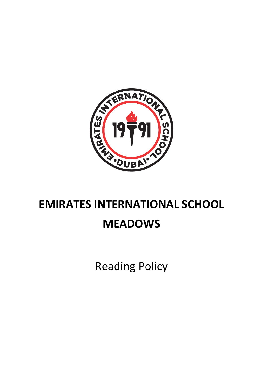

# **EMIRATES INTERNATIONAL SCHOOL**

# **MEADOWS**

Reading Policy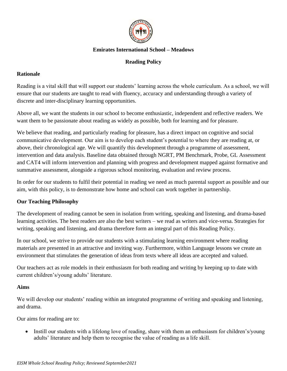

# **Emirates International School – Meadows**

# **Reading Policy**

# **Rationale**

Reading is a vital skill that will support our students' learning across the whole curriculum. As a school, we will ensure that our students are taught to read with fluency, accuracy and understanding through a variety of discrete and inter-disciplinary learning opportunities.

Above all, we want the students in our school to become enthusiastic, independent and reflective readers. We want them to be passionate about reading as widely as possible, both for learning and for pleasure.

We believe that reading, and particularly reading for pleasure, has a direct impact on cognitive and social communicative development. Our aim is to develop each student's potential to where they are reading at, or above, their chronological age. We will quantify this development through a programme of assessment, intervention and data analysis. Baseline data obtained through NGRT, PM Benchmark, Probe, GL Assessment and CAT4 will inform intervention and planning with progress and development mapped against formative and summative assessment, alongside a rigorous school monitoring, evaluation and review process.

In order for our students to fulfil their potential in reading we need as much parental support as possible and our aim, with this policy, is to demonstrate how home and school can work together in partnership.

# **Our Teaching Philosophy**

The development of reading cannot be seen in isolation from writing, speaking and listening, and drama-based learning activities. The best readers are also the best writers – we read as writers and vice-versa. Strategies for writing, speaking and listening, and drama therefore form an integral part of this Reading Policy.

In our school, we strive to provide our students with a stimulating learning environment where reading materials are presented in an attractive and inviting way. Furthermore, within Language lessons we create an environment that stimulates the generation of ideas from texts where all ideas are accepted and valued.

Our teachers act as role models in their enthusiasm for both reading and writing by keeping up to date with current children's/young adults' literature.

# **Aims**

We will develop our students' reading within an integrated programme of writing and speaking and listening, and drama.

Our aims for reading are to:

• Instill our students with a lifelong love of reading, share with them an enthusiasm for children's/young adults' literature and help them to recognise the value of reading as a life skill.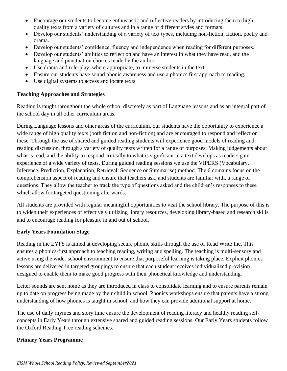- Encourage our students to become enthusiastic and reflective readers by introducing them to high quality texts from a variety of cultures and in a range of different styles and formats.
- Develop our students' understanding of a variety of text types, including non-fiction, fiction, poetry and drama.
- Develop our students' confidence, fluency and independence when reading for different purposes.
- Develop our students' abilities to reflect on and have an interest in what they have read, and the language and punctuation choices made by the author.
- Use drama and role-play, where appropriate, to immerse students in the text.
- Ensure our students have sound phonic awareness and use a phonics first approach to reading.
- Use digital systems to access and locate texts

# **Teaching Approaches and Strategies**

Reading is taught throughout the whole school discretely as part of Language lessons and as an integral part of the school day in all other curriculum areas.

During Language lessons and other areas of the curriculum, our students have the opportunity to experience a wide range of high quality texts (both fiction and non-fiction) and are encouraged to respond and reflect on these. Through the use of shared and guided reading students will experience good models of reading and reading discussion, through a variety of quality texts written for a range of purposes. Making judgements about what is read, and the ability to respond critically to what is significant in a text develops as readers gain experience of a wide variety of texts. During guided reading sessions we use the VIPERS (Vocabulary, Inference, Prediction, Explanation, Retrieval, Sequence or Summarise) method. The 6 domains focus on the comprehension aspect of reading and ensure that teachers ask, and students are familiar with, a range of questions. They allow the teacher to track the type of questions asked and the children's responses to these which allow for targeted questioning afterwards.

All students are provided with regular meaningful opportunities to visit the school library. The purpose of this is to widen their experiences of effectively utilizing library resources, developing library-based and research skills and to encourage reading for pleasure in and out of school.

# **Early Years Foundation Stage**

Reading in the EYFS is aimed at developing secure phonic skills through the use of Read Write Inc. This ensures a phonics-first approach to teaching reading, writing and spelling. The teaching is multi-sensory and active using the wider school environment to ensure that purposeful learning is taking place. Explicit phonics lessons are delivered in targeted groupings to ensure that each student receives individualized provision designed to enable them to make good progress with their phonetical knowledge and understanding.

Letter sounds are sent home as they are introduced in class to consolidate learning and to ensure parents remain up to date on progress being made by their child in school. Phonics workshops ensure that parents have a strong understanding of how phonics is taught in school, and how they can provide additional support at home.

The use of daily rhymes and story time ensure the development of reading literacy and healthy reading selfconcepts in Early Years through extensive shared and guided reading sessions. Our Early Years students follow the Oxford Reading Tree reading schemes.

# **Primary Years Programme**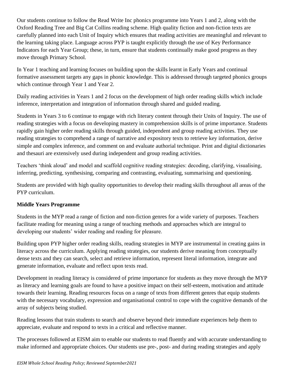Our students continue to follow the Read Write Inc phonics programme into Years 1 and 2, along with the Oxford Reading Tree and Big Cat Collins reading scheme. High quality fiction and non-fiction texts are carefully planned into each Unit of Inquiry which ensures that reading activities are meaningful and relevant to the learning taking place. Language across PYP is taught explicitly through the use of Key Performance Indicators for each Year Group; these, in turn, ensure that students continually make good progress as they move through Primary School.

In Year 1 teaching and learning focuses on building upon the skills learnt in Early Years and continual formative assessment targets any gaps in phonic knowledge. This is addressed through targeted phonics groups which continue through Year 1 and Year 2.

Daily reading activities in Years 1 and 2 focus on the development of high order reading skills which include inference, interpretation and integration of information through shared and guided reading.

Students in Years 3 to 6 continue to engage with rich literary content through their Units of Inquiry. The use of reading strategies with a focus on developing mastery in comprehension skills is of prime importance. Students rapidly gain higher order reading skills through guided, independent and group reading activities. They use reading strategies to comprehend a range of narrative and expository texts to retrieve key information, derive simple and complex inference, and comment on and evaluate authorial technique. Print and digital dictionaries and thesauri are extensively used during independent and group reading activities.

Teachers 'think aloud' and model and scaffold cognitive reading strategies: decoding, clarifying, visualising, inferring, predicting, synthesising, comparing and contrasting, evaluating, summarising and questioning.

Students are provided with high quality opportunities to develop their reading skills throughout all areas of the PYP curriculum.

# **Middle Years Programme**

Students in the MYP read a range of fiction and non-fiction genres for a wide variety of purposes. Teachers facilitate reading for meaning using a range of teaching methods and approaches which are integral to developing our students' wider reading and reading for pleasure.

Building upon PYP higher order reading skills, reading strategies in MYP are instrumental in creating gains in literacy across the curriculum. Applying reading strategies, our students derive meaning from conceptually dense texts and they can search, select and retrieve information, represent literal information, integrate and generate information, evaluate and reflect upon texts read.

Development in reading literacy is considered of prime importance for students as they move through the MYP as literacy and learning goals are found to have a positive impact on their self-esteem, motivation and attitude towards their learning. Reading resources focus on a range of texts from different genres that equip students with the necessary vocabulary, expression and organisational control to cope with the cognitive demands of the array of subjects being studied.

Reading lessons that train students to search and observe beyond their immediate experiences help them to appreciate, evaluate and respond to texts in a critical and reflective manner.

The processes followed at EISM aim to enable our students to read fluently and with accurate understanding to make informed and appropriate choices. Our students use pre-, post- and during reading strategies and apply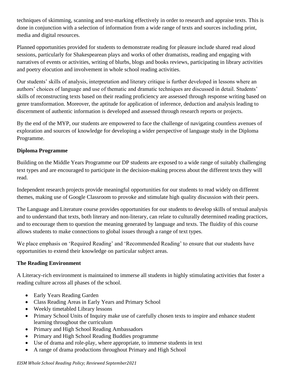techniques of skimming, scanning and text-marking effectively in order to research and appraise texts. This is done in conjunction with a selection of information from a wide range of texts and sources including print, media and digital resources.

Planned opportunities provided for students to demonstrate reading for pleasure include shared read aloud sessions, particularly for Shakespearean plays and works of other dramatists, reading and engaging with narratives of events or activities, writing of blurbs, blogs and books reviews, participating in library activities and poetry elocution and involvement in whole school reading activities.

Our students' skills of analysis, interpretation and literary critique is further developed in lessons where an authors' choices of language and use of thematic and dramatic techniques are discussed in detail. Students' skills of reconstructing texts based on their reading proficiency are assessed through response writing based on genre transformation. Moreover, the aptitude for application of inference, deduction and analysis leading to discernment of authentic information is developed and assessed through research reports or projects.

By the end of the MYP, our students are empowered to face the challenge of navigating countless avenues of exploration and sources of knowledge for developing a wider perspective of language study in the Diploma Programme.

# **Diploma Programme**

Building on the Middle Years Programme our DP students are exposed to a wide range of suitably challenging text types and are encouraged to participate in the decision-making process about the different texts they will read.

Independent research projects provide meaningful opportunities for our students to read widely on different themes, making use of Google Classroom to provoke and stimulate high quality discussion with their peers.

The Language and Literature course provides opportunities for our students to develop skills of textual analysis and to understand that texts, both literary and non-literary, can relate to culturally determined reading practices, and to encourage them to question the meaning generated by language and texts. The fluidity of this course allows students to make connections to global issues through a range of text types.

We place emphasis on 'Required Reading' and 'Recommended Reading' to ensure that our students have opportunities to extend their knowledge on particular subject areas.

# **The Reading Environment**

A Literacy-rich environment is maintained to immerse all students in highly stimulating activities that foster a reading culture across all phases of the school.

- Early Years Reading Garden
- Class Reading Areas in Early Years and Primary School
- Weekly timetabled Library lessons
- Primary School Units of Inquiry make use of carefully chosen texts to inspire and enhance student learning throughout the curriculum
- Primary and High School Reading Ambassadors
- Primary and High School Reading Buddies programme
- Use of drama and role-play, where appropriate, to immerse students in text
- A range of drama productions throughout Primary and High School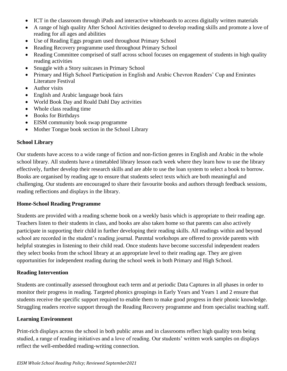- ICT in the classroom through iPads and interactive whiteboards to access digitally written materials
- A range of high quality After School Activities designed to develop reading skills and promote a love of reading for all ages and abilities
- Use of Reading Eggs program used throughout Primary School
- Reading Recovery programme used throughout Primary School
- Reading Committee comprised of staff across school focuses on engagement of students in high quality reading activities
- Snuggle with a Story suitcases in Primary School
- Primary and High School Participation in English and Arabic Chevron Readers' Cup and Emirates Literature Festival
- Author visits
- English and Arabic language book fairs
- World Book Day and Roald Dahl Day activities
- Whole class reading time
- Books for Birthdays
- EISM community book swap programme
- Mother Tongue book section in the School Library

#### **School Library**

Our students have access to a wide range of fiction and non-fiction genres in English and Arabic in the whole school library. All students have a timetabled library lesson each week where they learn how to use the library effectively, further develop their research skills and are able to use the loan system to select a book to borrow. Books are organised by reading age to ensure that students select texts which are both meaningful and challenging. Our students are encouraged to share their favourite books and authors through feedback sessions, reading reflections and displays in the library.

# **Home-School Reading Programme**

Students are provided with a reading scheme book on a weekly basis which is appropriate to their reading age. Teachers listen to their students in class, and books are also taken home so that parents can also actively participate in supporting their child in further developing their reading skills. All readings within and beyond school are recorded in the student's reading journal. Parental workshops are offered to provide parents with helpful strategies in listening to their child read. Once students have become successful independent readers they select books from the school library at an appropriate level to their reading age. They are given opportunities for independent reading during the school week in both Primary and High School.

# **Reading Intervention**

Students are continually assessed throughout each term and at periodic Data Captures in all phases in order to monitor their progress in reading. Targeted phonics groupings in Early Years and Years 1 and 2 ensure that students receive the specific support required to enable them to make good progress in their phonic knowledge. Struggling readers receive support through the Reading Recovery programme and from specialist teaching staff.

# **Learning Environment**

Print-rich displays across the school in both public areas and in classrooms reflect high quality texts being studied, a range of reading initiatives and a love of reading. Our students' written work samples on displays reflect the well-embedded reading-writing connection.